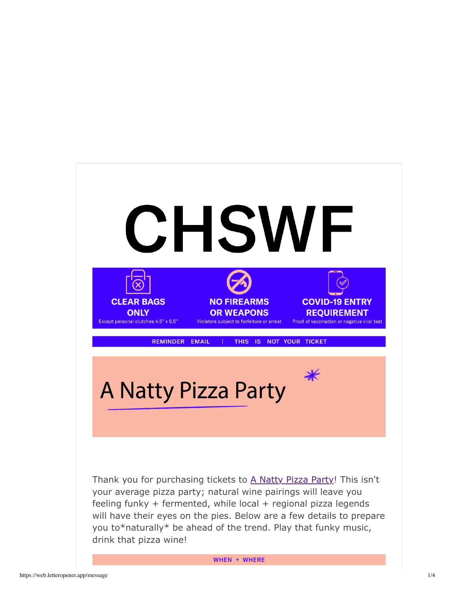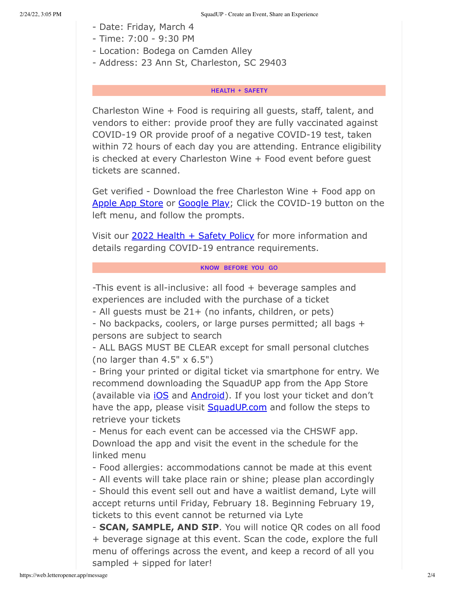- Date: Friday, March 4
- Time: 7:00 9:30 PM
- Location: Bodega on Camden Alley
- Address: 23 Ann St, Charleston, SC 29403

## **HEALTH + SAFETY**

Charleston Wine + Food is requiring all guests, staff, talent, and vendors to either: provide proof they are fully vaccinated against COVID-19 OR provide proof of a negative COVID-19 test, taken within 72 hours of each day you are attending. Entrance eligibility is checked at every Charleston Wine + Food event before guest tickets are scanned.

Get verified - Download the free Charleston Wine + Food app on Apple App Store or Google Play; Click the COVID-19 button on the left menu, and follow the prompts.

Visit our 2022 Health + Safety Policy for more information and details regarding COVID-19 entrance requirements.

# KNOW BEFORE YOU GO

-This event is all-inclusive: all food + beverage samples and experiences are included with the purchase of a ticket

- All guests must be 21+ (no infants, children, or pets)

- No backpacks, coolers, or large purses permitted; all bags + persons are subject to search

- ALL BAGS MUST BE CLEAR except for small personal clutches (no larger than  $4.5" \times 6.5"$ )

- Bring your printed or digital ticket via smartphone for entry. We recommend downloading the SquadUP app from the App Store (available via *iOS* and **Android**). If you lost your ticket and don't have the app, please visit SquadUP.com and follow the steps to retrieve your tickets

- Menus for each event can be accessed via the CHSWF app. Download the app and visit the event in the schedule for the linked menu

- Food allergies: accommodations cannot be made at this event

- All events will take place rain or shine; please plan accordingly

- Should this event sell out and have a waitlist demand, Lyte will accept returns until Friday, February 18. Beginning February 19, tickets to this event cannot be returned via Lyte

- **SCAN, SAMPLE, AND SIP**. You will notice QR codes on all food + beverage signage at this event. Scan the code, explore the full menu of offerings across the event, and keep a record of all you sampled + sipped for later!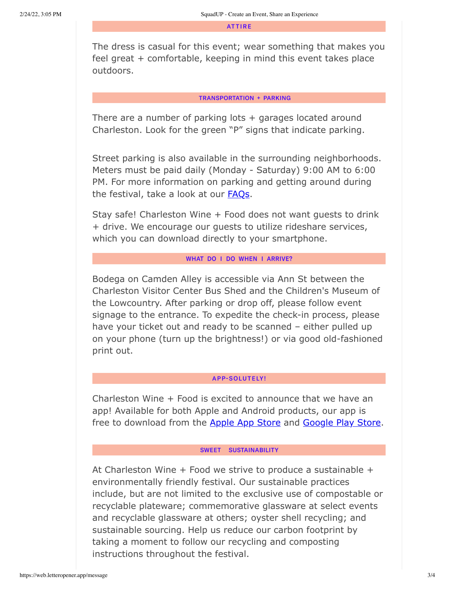**ATTIRE** 

The dress is casual for this event; wear something that makes you feel great + comfortable, keeping in mind this event takes place outdoors.

#### **TRANSPORTATION + PARKING**

There are a number of parking lots + garages located around Charleston. Look for the green "P" signs that indicate parking.

Street parking is also available in the surrounding neighborhoods. Meters must be paid daily (Monday - Saturday) 9:00 AM to 6:00 PM. For more information on parking and getting around during the festival, take a look at our FAQs.

Stay safe! Charleston Wine + Food does not want guests to drink + drive. We encourage our guests to utilize rideshare services, which you can download directly to your smartphone.

### WHAT DO I DO WHEN I ARRIVE?

Bodega on Camden Alley is accessible via Ann St between the Charleston Visitor Center Bus Shed and the Children's Museum of the Lowcountry. After parking or drop off, please follow event signage to the entrance. To expedite the check-in process, please have your ticket out and ready to be scanned – either pulled up on your phone (turn up the brightness!) or via good old-fashioned print out.

#### **APP-SOLUTELY!**

Charleston Wine + Food is excited to announce that we have an app! Available for both Apple and Android products, our app is free to download from the Apple App Store and Google Play Store.

#### SWEET SUSTAINABILITY

At Charleston Wine  $+$  Food we strive to produce a sustainable  $+$ environmentally friendly festival. Our sustainable practices include, but are not limited to the exclusive use of compostable or recyclable plateware; commemorative glassware at select events and recyclable glassware at others; oyster shell recycling; and sustainable sourcing. Help us reduce our carbon footprint by taking a moment to follow our recycling and composting instructions throughout the festival.